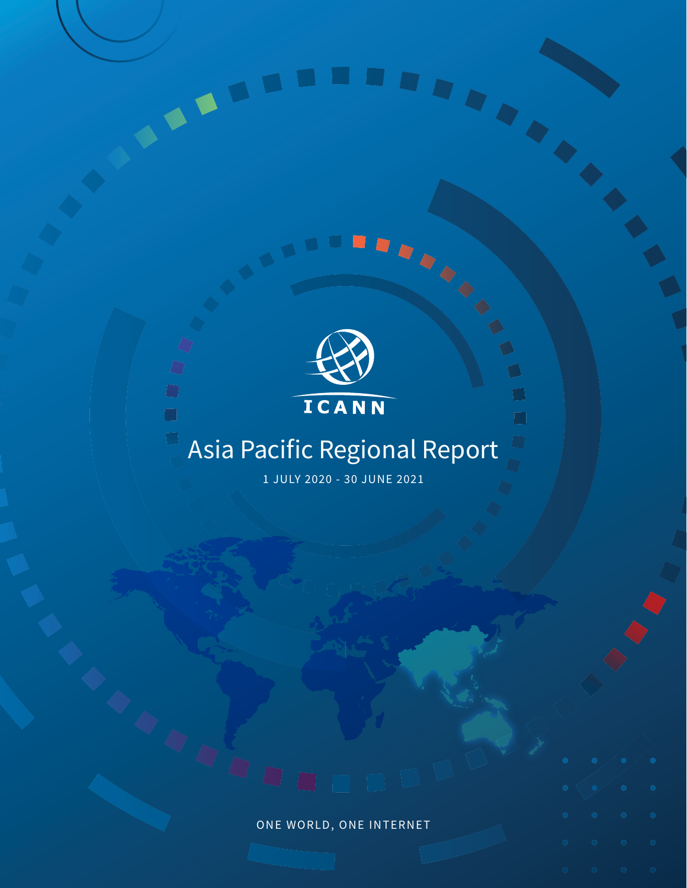

 $\bigcirc$ 

 $\Box$ 

 $\Box$ 

## Asia Pacific Regional Report

 $\begin{array}{c} \hline \end{array}$ 

1 JULY 2020 - 30 JUNE 2021

# ONE WORLD, ONE INTERNET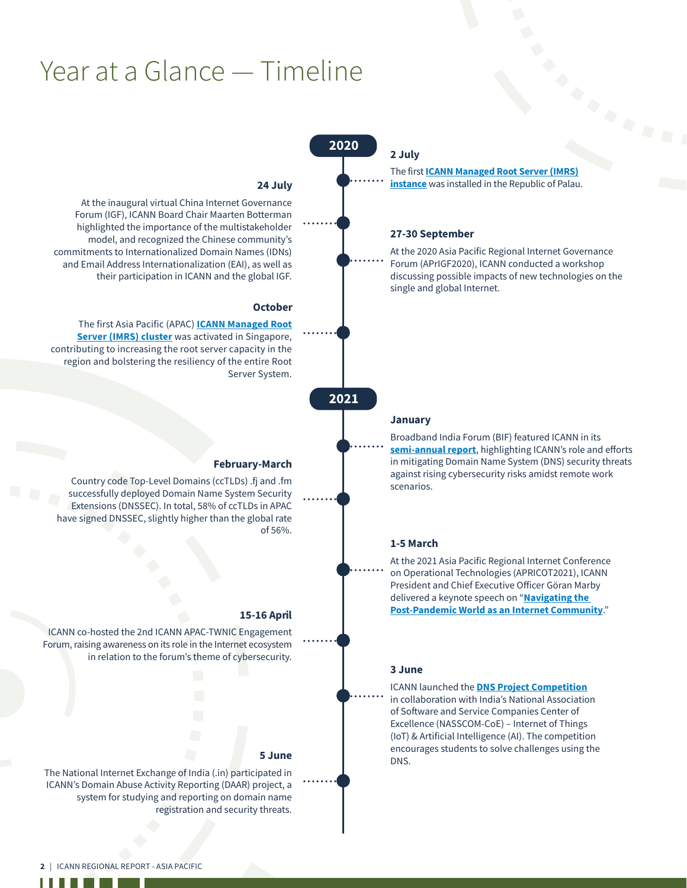## Year at a Glance — Timeline

#### 2020

The first **[ICANN Managed Root Server \(IMRS\)](https://www.icann.org/en/announcements/details/first-icann-managed-root-server-instance-installed-in-palau-2-7-2020-en) [instance](https://www.icann.org/en/announcements/details/first-icann-managed-root-server-instance-installed-in-palau-2-7-2020-en)** was installed in the Republic of Palau.

#### 27-30 September

2 July

At the 2020 Asia Pacific Regional Internet Governance Forum (APrIGF2020), ICANN conducted a workshop discussing possible impacts of new technologies on the single and global Internet.

#### January

Broadband India Forum (BIF) featured ICANN in its **[semi-annual report](https://www.broadbandindiaforum.com/media/attachments/2021/01/14/broadband-bits-bytes_january-2021-issue_bif-bi-annual-communique.pdf)**, highlighting ICANN's role and efforts in mitigating Domain Name System (DNS) security threats against rising cybersecurity risks amidst remote work scenarios.

#### 1-5 March

At the 2021 Asia Pacific Regional Internet Conference on Operational Technologies (APRICOT2021), ICANN President and Chief Executive Officer Göran Marby delivered a keynote speech on "**[Navigating the](https://conference.apnic.net/51/program/schedule-conference/#/day/8/opening-ceremony-and-plenary)  [Post-Pandemic World as an Internet Community](https://conference.apnic.net/51/program/schedule-conference/#/day/8/opening-ceremony-and-plenary)**."

#### 3 June

ICANN launched the **[DNS Project Competition](https://haryana.coe-iot.com/dns/)** in collaboration with India's National Association of Software and Service Companies Center of Excellence (NASSCOM-CoE) – Internet of Things (IoT) & Artificial Intelligence (AI). The competition encourages students to solve challenges using the DNS.

#### 24 July

At the inaugural virtual China Internet Governance Forum (IGF), ICANN Board Chair Maarten Botterman highlighted the importance of the multistakeholder model, and recognized the Chinese community's commitments to Internationalized Domain Names (IDNs) and Email Address Internationalization (EAI), as well as their participation in ICANN and the global IGF.

#### **October**

The first Asia Pacific (APAC) **[ICANN Managed Root](https://www.icann.org/en/announcements/details/icann-root-server-cluster-in-singapore-now-live-8-10-2020-en) [Server \(IMRS\) cluster](https://www.icann.org/en/announcements/details/icann-root-server-cluster-in-singapore-now-live-8-10-2020-en)** was activated in Singapore, contributing to increasing the root server capacity in the region and bolstering the resiliency of the entire Root Server System.

#### 2021

#### February-March

Country code Top-Level Domains (ccTLDs) .fj and .fm successfully deployed Domain Name System Security Extensions (DNSSEC). In total, 58% of ccTLDs in APAC have signed DNSSEC, slightly higher than the global rate of 56%.

#### 15-16 April

ICANN co-hosted the 2nd ICANN APAC-TWNIC Engagement Forum, raising awareness on its role in the Internet ecosystem in relation to the forum's theme of cybersecurity.

#### 5 June

The National Internet Exchange of India (.in) participated in ICANN's Domain Abuse Activity Reporting (DAAR) project, a system for studying and reporting on domain name registration and security threats.

ш

ш.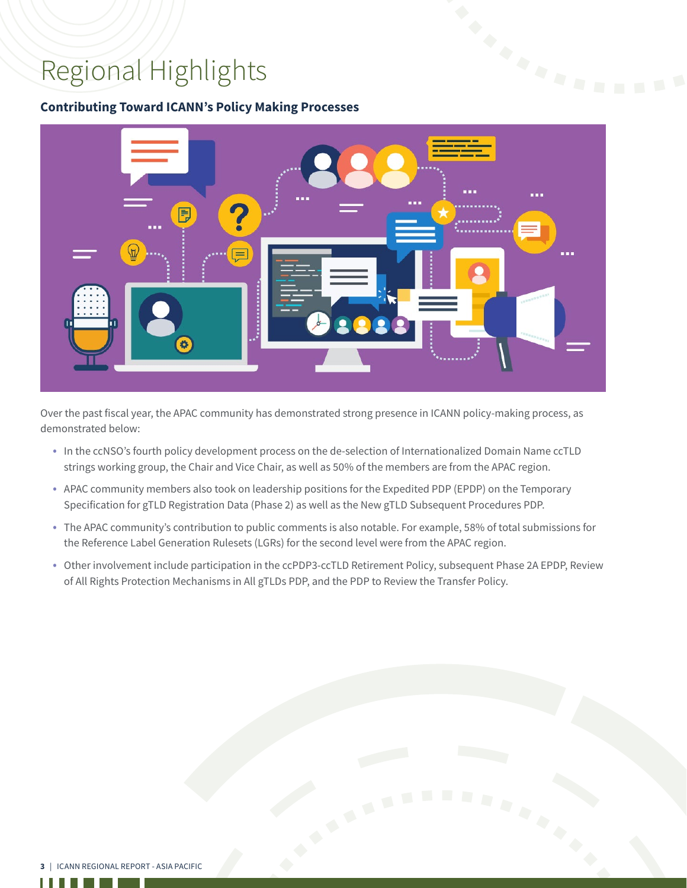## Regional Highlights

ш

l.

#### **Contributing Toward ICANN's Policy Making Processes**



Over the past fiscal year, the APAC community has demonstrated strong presence in ICANN policy-making process, as demonstrated below:

- In the ccNSO's fourth policy development process on the de-selection of Internationalized Domain Name ccTLD strings working group, the Chair and Vice Chair, as well as 50% of the members are from the APAC region.
- APAC community members also took on leadership positions for the Expedited PDP (EPDP) on the Temporary Specification for gTLD Registration Data (Phase 2) as well as the New gTLD Subsequent Procedures PDP.
- The APAC community's contribution to public comments is also notable. For example, 58% of total submissions for the Reference Label Generation Rulesets (LGRs) for the second level were from the APAC region.
- Other involvement include participation in the ccPDP3-ccTLD Retirement Policy, subsequent Phase 2A EPDP, Review of All Rights Protection Mechanisms in All gTLDs PDP, and the PDP to Review the Transfer Policy.

|                                          | <b>STATISTICS</b> |  |
|------------------------------------------|-------------------|--|
| 3   ICANN REGIONAL REPORT - ASIA PACIFIC |                   |  |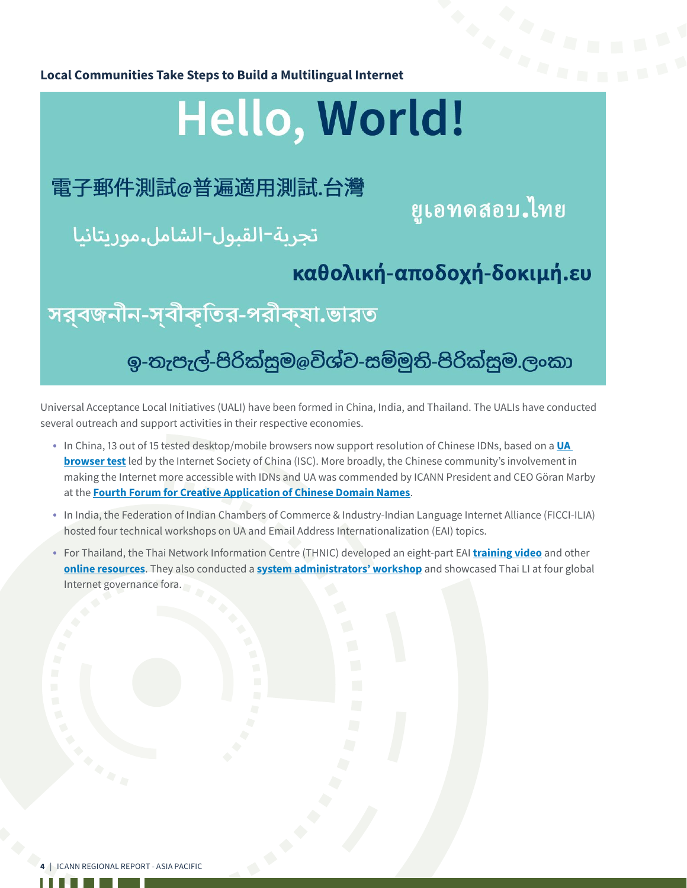

## Hello, World!

## 電子郵件測試@普遍適用測試.台灣

ยูเอทดสอบ ไทย

## تجربة-القبول-الشامل.موريتانيا

### καθολική-αποδοχή-δοκιμή.ευ

সর্বজনীন-স্বীকৃতির-পরীক্ষা.ভারত

### ඉ-තැපැල්-පිරික්සුම@විශ්ව-සම්මුති-පිරික්සුම.ලංකා

Universal Acceptance Local Initiatives (UALI) have been formed in China, India, and Thailand. The UALIs have conducted several outreach and support activities in their respective economies.

- In China, 13 out of 15 tested desktop/mobile browsers now support resolution of Chinese IDNs, based on a **[UA](https://mp.weixin.qq.com/s/PM7z6oP_5Tt5U6p5nzew6Q)  [browser test](https://mp.weixin.qq.com/s/PM7z6oP_5Tt5U6p5nzew6Q)** led by the Internet Society of China (ISC). More broadly, the Chinese community's involvement in making the Internet more accessible with IDNs and UA was commended by ICANN President and CEO Göran Marby at the **[Fourth Forum for Creative Application of Chinese Domain Names](http://中文域名创新应用论坛.网址/)**.
- In India, the Federation of Indian Chambers of Commerce & Industry-Indian Language Internet Alliance (FICCI-ILIA) hosted four technical workshops on UA and Email Address Internationalization (EAI) topics.
- For Thailand, the Thai Network Information Centre (THNIC) developed an eight-part EAI **[training video](https://www.youtube.com/watch?v=1m5_6fDfOzE&list=PL9HE8-EElX9LkwVTLoa3Yw4DAYUvbO5yx)** and other **[online resources](https://wiki.thnic.or.th/th/%E0%B8%AB%E0%B8%99%E0%B9%89%E0%B8%B2%E0%B8%AB%E0%B8%A5%E0%B8%B1%E0%B8%81)**. They also conducted a **[system administrators' workshop](https://รู้จัก.ไทย/online-workshop-setting-up-an-email-server-with-eai-support/)** and showcased Thai LI at four global Internet governance fora.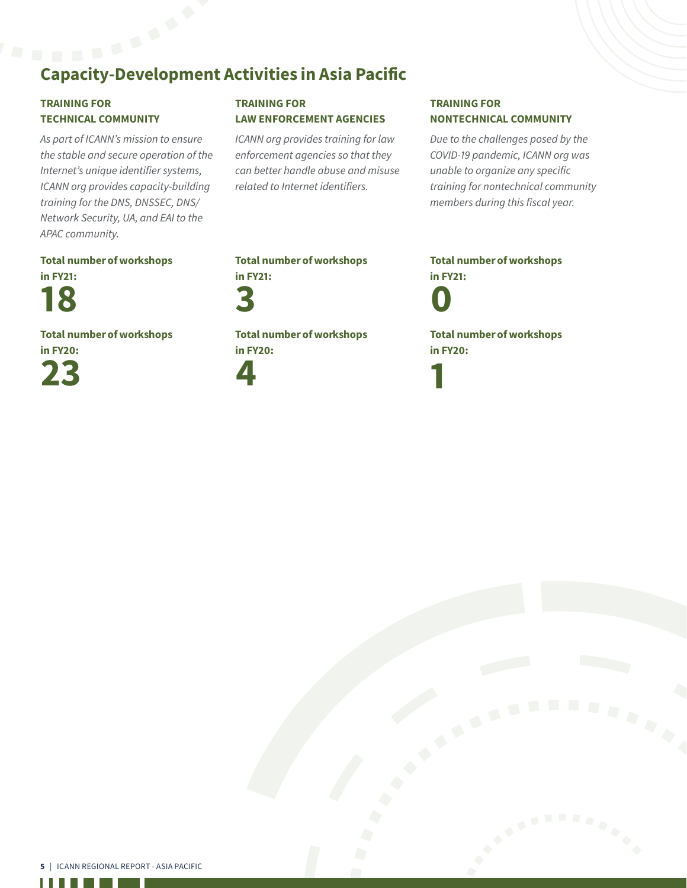## Capacity-Development Activities in Asia Pacific

#### TRAINING FOR TECHNICAL COMMUNITY

*As part of ICANN's mission to ensure the stable and secure operation of the Internet's unique identifier systems, ICANN org provides capacity-building training for the DNS, DNSSEC, DNS/ Network Security, UA, and EAI to the APAC community.* 

#### TRAINING FOR LAW ENFORCEMENT AGENCIES

*ICANN org provides training for law enforcement agencies so that they can better handle abuse and misuse related to Internet identifiers.*

#### TRAINING FOR NONTECHNICAL COMMUNITY

*Due to the challenges posed by the COVID-19 pandemic, ICANN org was unable to organize any specific training for nontechnical community members during this fiscal year.* 

#### Total number of workshops in FY21:

18

Total number of workshops



#### Total number of workshops in FY21:

3

Total number of workshops in FY20:



Total number of workshops in FY21:

0

1

Total number of workshops in FY20:

. . . .

I.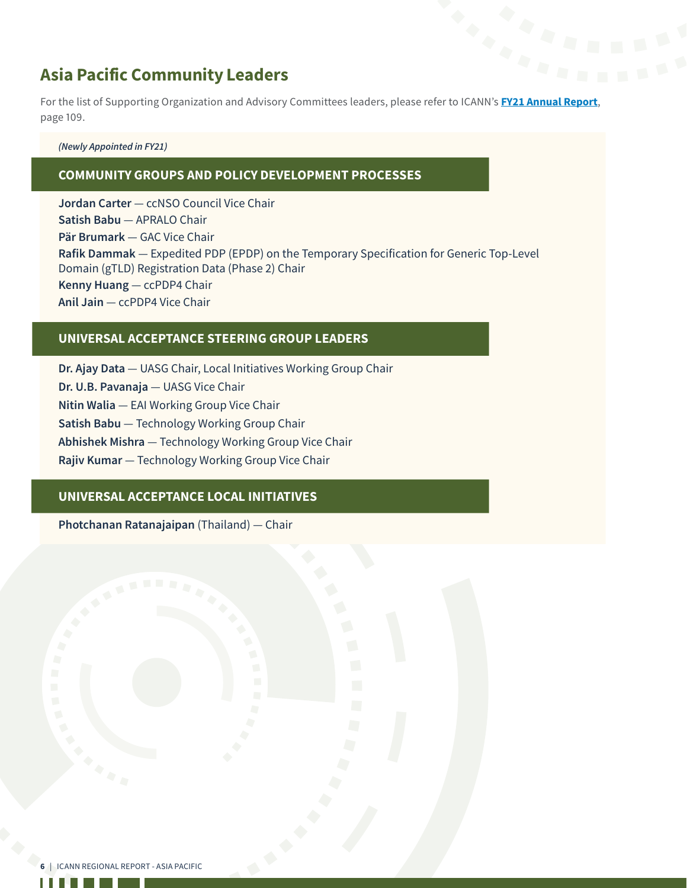#### Asia Pacific Community Leaders

**Asia Pacific Community Leaders**<br>For the list of Supporting Organization and Advisory Committees leaders, please refer to ICANN's **[FY21 Annual Report](https://www.icann.org/en/system/files/files/annual-report-2021-en.pdf)**, page 109.

#### *(Newly Appointed in FY21)*

#### COMMUNITY GROUPS AND POLICY DEVELOPMENT PROCESSES

**Jordan Carter** — ccNSO Council Vice Chair **Satish Babu** — APRALO Chair **Pär Brumark** — GAC Vice Chair **Rafik Dammak** — Expedited PDP (EPDP) on the Temporary Specification for Generic Top-Level Domain (gTLD) Registration Data (Phase 2) Chair **Kenny Huang** — ccPDP4 Chair **Anil Jain** — ccPDP4 Vice Chair

#### UNIVERSAL ACCEPTANCE STEERING GROUP LEADERS

**Dr. Ajay Data** — UASG Chair, Local Initiatives Working Group Chair **Dr. U.B. Pavanaja** — UASG Vice Chair **Nitin Walia** — EAI Working Group Vice Chair **Satish Babu** — Technology Working Group Chair **Abhishek Mishra** — Technology Working Group Vice Chair **Rajiv Kumar** — Technology Working Group Vice Chair

#### UNIVERSAL ACCEPTANCE LOCAL INITIATIVES

**Photchanan Ratanajaipan** (Thailand) — Chair

. . .